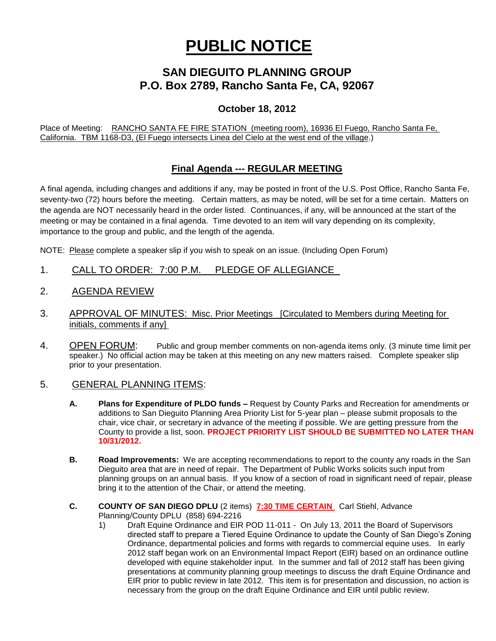# **PUBLIC NOTICE**

# **SAN DIEGUITO PLANNING GROUP P.O. Box 2789, Rancho Santa Fe, CA, 92067**

### **October 18, 2012**

Place of Meeting: RANCHO SANTA FE FIRE STATION (meeting room), 16936 El Fuego, Rancho Santa Fe, California. TBM 1168-D3, (El Fuego intersects Linea del Cielo at the west end of the village.)

## **Final Agenda --- REGULAR MEETING**

A final agenda, including changes and additions if any, may be posted in front of the U.S. Post Office, Rancho Santa Fe, seventy-two (72) hours before the meeting. Certain matters, as may be noted, will be set for a time certain. Matters on the agenda are NOT necessarily heard in the order listed. Continuances, if any, will be announced at the start of the meeting or may be contained in a final agenda. Time devoted to an item will vary depending on its complexity, importance to the group and public, and the length of the agenda.

NOTE: Please complete a speaker slip if you wish to speak on an issue. (Including Open Forum)

- 1. CALL TO ORDER: 7:00 P.M. PLEDGE OF ALLEGIANCE
- 2. AGENDA REVIEW
- 3. APPROVAL OF MINUTES: Misc. Prior Meetings [Circulated to Members during Meeting for initials, comments if any]
- 4. OPEN FORUM: Public and group member comments on non-agenda items only. (3 minute time limit per speaker.) No official action may be taken at this meeting on any new matters raised. Complete speaker slip prior to your presentation.

#### 5. GENERAL PLANNING ITEMS:

- **A. Plans for Expenditure of PLDO funds –** Request by County Parks and Recreation for amendments or additions to San Dieguito Planning Area Priority List for 5-year plan – please submit proposals to the chair, vice chair, or secretary in advance of the meeting if possible. We are getting pressure from the County to provide a list, soon. **PROJECT PRIORITY LIST SHOULD BE SUBMITTED NO LATER THAN 10/31/2012.**
- **B. Road Improvements:** We are accepting recommendations to report to the county any roads in the San Dieguito area that are in need of repair. The Department of Public Works solicits such input from planning groups on an annual basis. If you know of a section of road in significant need of repair, please bring it to the attention of the Chair, or attend the meeting.
- **C. COUNTY OF SAN DIEGO DPLU** (2 items) **7:30 TIME CERTAIN** Carl Stiehl, Advance Planning/County DPLU (858) 694-2216
	- 1) Draft Equine Ordinance and EIR POD 11-011 On July 13, 2011 the Board of Supervisors directed staff to prepare a Tiered Equine Ordinance to update the County of San Diego's Zoning Ordinance, departmental policies and forms with regards to commercial equine uses. In early 2012 staff began work on an Environmental Impact Report (EIR) based on an ordinance outline developed with equine stakeholder input. In the summer and fall of 2012 staff has been giving presentations at community planning group meetings to discuss the draft Equine Ordinance and EIR prior to public review in late 2012. This item is for presentation and discussion, no action is necessary from the group on the draft Equine Ordinance and EIR until public review.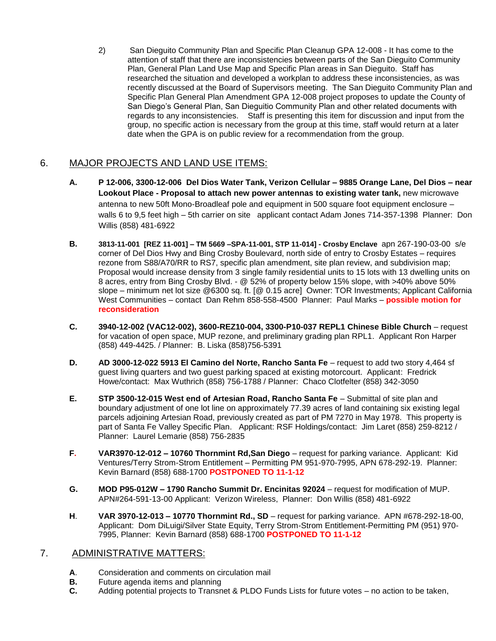2) San Dieguito Community Plan and Specific Plan Cleanup GPA 12-008 - It has come to the attention of staff that there are inconsistencies between parts of the San Dieguito Community Plan, General Plan Land Use Map and Specific Plan areas in San Dieguito. Staff has researched the situation and developed a workplan to address these inconsistencies, as was recently discussed at the Board of Supervisors meeting. The San Dieguito Community Plan and Specific Plan General Plan Amendment GPA 12-008 project proposes to update the County of San Diego's General Plan, San Dieguitio Community Plan and other related documents with regards to any inconsistencies. Staff is presenting this item for discussion and input from the group, no specific action is necessary from the group at this time, staff would return at a later date when the GPA is on public review for a recommendation from the group.

# 6. MAJOR PROJECTS AND LAND USE ITEMS:

- **A. P 12-006, 3300-12-006 Del Dios Water Tank, Verizon Cellular – 9885 Orange Lane, Del Dios – near Lookout Place - Proposal to attach new power antennas to existing water tank,** new microwave antenna to new 50ft Mono-Broadleaf pole and equipment in 500 square foot equipment enclosure – walls 6 to 9,5 feet high – 5th carrier on site applicant contact Adam Jones 714-357-1398 Planner: Don Willis (858) 481-6922
- **B. 3813-11-001 [REZ 11-001] – TM 5669 –SPA-11-001, STP 11-014] - Crosby Enclave** apn 267-190-03-00 s/e corner of Del Dios Hwy and Bing Crosby Boulevard, north side of entry to Crosby Estates – requires rezone from S88/A70/RR to RS7, specific plan amendment, site plan review, and subdivision map; Proposal would increase density from 3 single family residential units to 15 lots with 13 dwelling units on 8 acres, entry from Bing Crosby Blvd. - @ 52% of property below 15% slope, with >40% above 50% slope – minimum net lot size @6300 sq. ft. [@ 0.15 acre] Owner: TOR Investments; Applicant California West Communities – contact Dan Rehm 858-558-4500 Planner: Paul Marks – **possible motion for reconsideration**
- **C. 3940-12-002 (VAC12-002), 3600-REZ10-004, 3300-P10-037 REPL1 Chinese Bible Church** request for vacation of open space, MUP rezone, and preliminary grading plan RPL1. Applicant Ron Harper (858) 449-4425. / Planner: B. Liska (858)756-5391
- **D. AD 3000-12-022 5913 El Camino del Norte, Rancho Santa Fe** request to add two story 4,464 sf guest living quarters and two guest parking spaced at existing motorcourt. Applicant: Fredrick Howe/contact: Max Wuthrich (858) 756-1788 / Planner: Chaco Clotfelter (858) 342-3050
- **E. STP 3500-12-015 West end of Artesian Road, Rancho Santa Fe** Submittal of site plan and boundary adjustment of one lot line on approximately 77.39 acres of land containing six existing legal parcels adjoining Artesian Road, previously created as part of PM 7270 in May 1978. This property is part of Santa Fe Valley Specific Plan.Applicant: RSF Holdings/contact: Jim Laret (858) 259-8212 / Planner: Laurel Lemarie (858) 756-2835
- **F. VAR3970-12-012 – 10760 Thornmint Rd,San Diego**  request for parking variance. Applicant: Kid Ventures/Terry Strom-Strom Entitlement – Permitting PM 951-970-7995, APN 678-292-19. Planner: Kevin Barnard (858) 688-1700 **POSTPONED TO 11-1-12**
- **G. MOD P95-012W – 1790 Rancho Summit Dr. Encinitas 92024**  request for modification of MUP. APN#264-591-13-00 Applicant: Verizon Wireless, Planner: Don Willis (858) 481-6922
- **H**. **VAR 3970-12-013 – 10770 Thornmint Rd., SD**  request for parking variance. APN #678-292-18-00, Applicant: Dom DiLuigi/Silver State Equity, Terry Strom-Strom Entitlement-Permitting PM (951) 970- 7995, Planner: Kevin Barnard (858) 688-1700 **POSTPONED TO 11-1-12**

#### 7. ADMINISTRATIVE MATTERS:

- **A**. Consideration and comments on circulation mail
- **B.** Future agenda items and planning
- **C.** Adding potential projects to Transnet & PLDO Funds Lists for future votes no action to be taken,